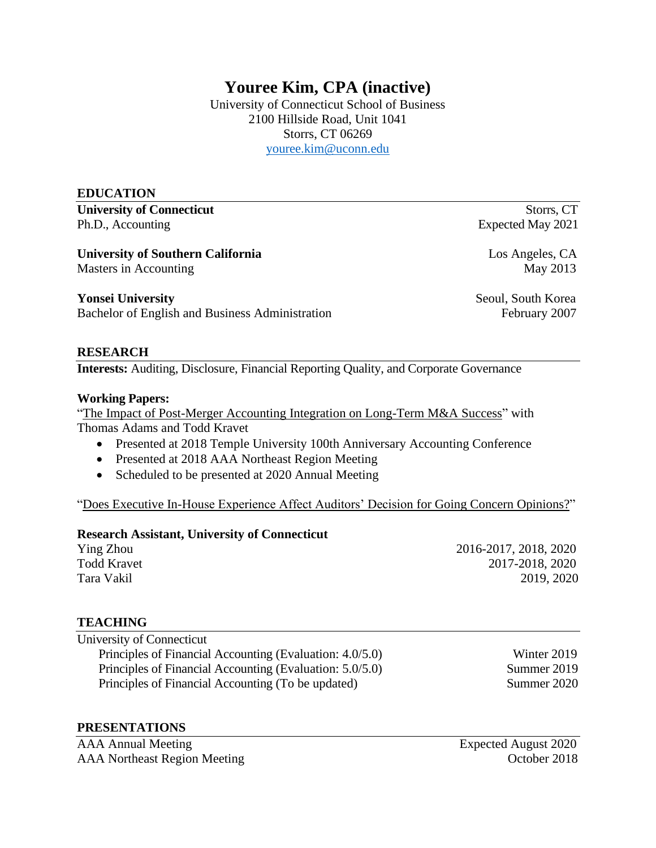# **Youree Kim, CPA (inactive)**

University of Connecticut School of Business 2100 Hillside Road, Unit 1041 Storrs, CT 06269 [youree.kim@uconn.edu](mailto:youree.kim@uconn.edu)

#### **EDUCATION**

**University of Connecticut** Storrs, CT Ph.D., Accounting Expected May 2021

**University of Southern California** Los Angeles, CA

Masters in Accounting May 2013

**Yonsei University** Seoul, South Korea

Bachelor of English and Business Administration February 2007

#### **RESEARCH**

**Interests:** Auditing, Disclosure, Financial Reporting Quality, and Corporate Governance

#### **Working Papers:**

"The Impact of Post-Merger Accounting Integration on Long-Term M&A Success" with Thomas Adams and Todd Kravet

- Presented at 2018 Temple University 100th Anniversary Accounting Conference
- Presented at 2018 AAA Northeast Region Meeting
- Scheduled to be presented at 2020 Annual Meeting

"Does Executive In-House Experience Affect Auditors' Decision for Going Concern Opinions?"

#### **Research Assistant, University of Connecticut**

Ying Zhou 2016-2017, 2018, 2020 Todd Kravet 2017-2018, 2020 Tara Vakil 2019, 2020

## **TEACHING**

University of Connecticut Principles of Financial Accounting (Evaluation: 4.0/5.0) Winter 2019 Principles of Financial Accounting (Evaluation: 5.0/5.0) Summer 2019 Principles of Financial Accounting (To be updated) Summer 2020

#### **PRESENTATIONS**

AAA Annual Meeting Expected August 2020 AAA Northeast Region Meeting Coroler 2018